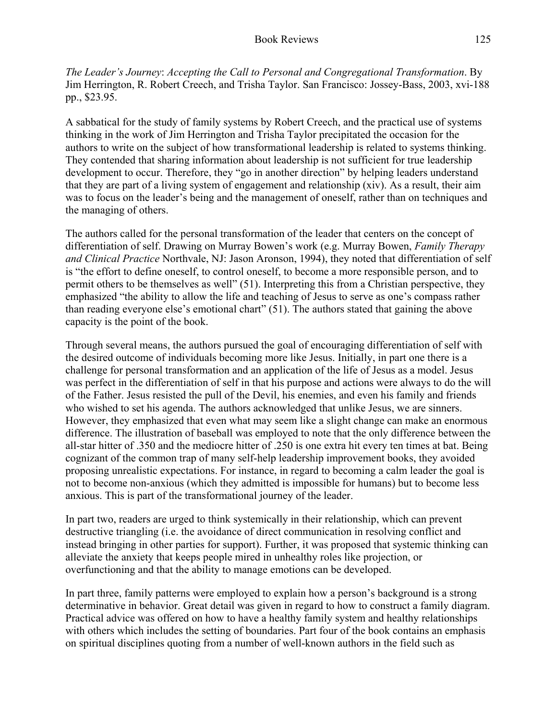*The Leader's Journey*: *Accepting the Call to Personal and Congregational Transformation*. By Jim Herrington, R. Robert Creech, and Trisha Taylor. San Francisco: Jossey-Bass, 2003, xvi-188 pp., \$23.95.

A sabbatical for the study of family systems by Robert Creech, and the practical use of systems thinking in the work of Jim Herrington and Trisha Taylor precipitated the occasion for the authors to write on the subject of how transformational leadership is related to systems thinking. They contended that sharing information about leadership is not sufficient for true leadership development to occur. Therefore, they "go in another direction" by helping leaders understand that they are part of a living system of engagement and relationship (xiv). As a result, their aim was to focus on the leader's being and the management of oneself, rather than on techniques and the managing of others.

The authors called for the personal transformation of the leader that centers on the concept of differentiation of self. Drawing on Murray Bowen's work (e.g. Murray Bowen, *Family Therapy and Clinical Practice* Northvale, NJ: Jason Aronson, 1994), they noted that differentiation of self is "the effort to define oneself, to control oneself, to become a more responsible person, and to permit others to be themselves as well" (51). Interpreting this from a Christian perspective, they emphasized "the ability to allow the life and teaching of Jesus to serve as one's compass rather than reading everyone else's emotional chart" (51). The authors stated that gaining the above capacity is the point of the book.

Through several means, the authors pursued the goal of encouraging differentiation of self with the desired outcome of individuals becoming more like Jesus. Initially, in part one there is a challenge for personal transformation and an application of the life of Jesus as a model. Jesus was perfect in the differentiation of self in that his purpose and actions were always to do the will of the Father. Jesus resisted the pull of the Devil, his enemies, and even his family and friends who wished to set his agenda. The authors acknowledged that unlike Jesus, we are sinners. However, they emphasized that even what may seem like a slight change can make an enormous difference. The illustration of baseball was employed to note that the only difference between the all-star hitter of .350 and the mediocre hitter of .250 is one extra hit every ten times at bat. Being cognizant of the common trap of many self-help leadership improvement books, they avoided proposing unrealistic expectations. For instance, in regard to becoming a calm leader the goal is not to become non-anxious (which they admitted is impossible for humans) but to become less anxious. This is part of the transformational journey of the leader.

In part two, readers are urged to think systemically in their relationship, which can prevent destructive triangling (i.e. the avoidance of direct communication in resolving conflict and instead bringing in other parties for support). Further, it was proposed that systemic thinking can alleviate the anxiety that keeps people mired in unhealthy roles like projection, or overfunctioning and that the ability to manage emotions can be developed.

In part three, family patterns were employed to explain how a person's background is a strong determinative in behavior. Great detail was given in regard to how to construct a family diagram. Practical advice was offered on how to have a healthy family system and healthy relationships with others which includes the setting of boundaries. Part four of the book contains an emphasis on spiritual disciplines quoting from a number of well-known authors in the field such as